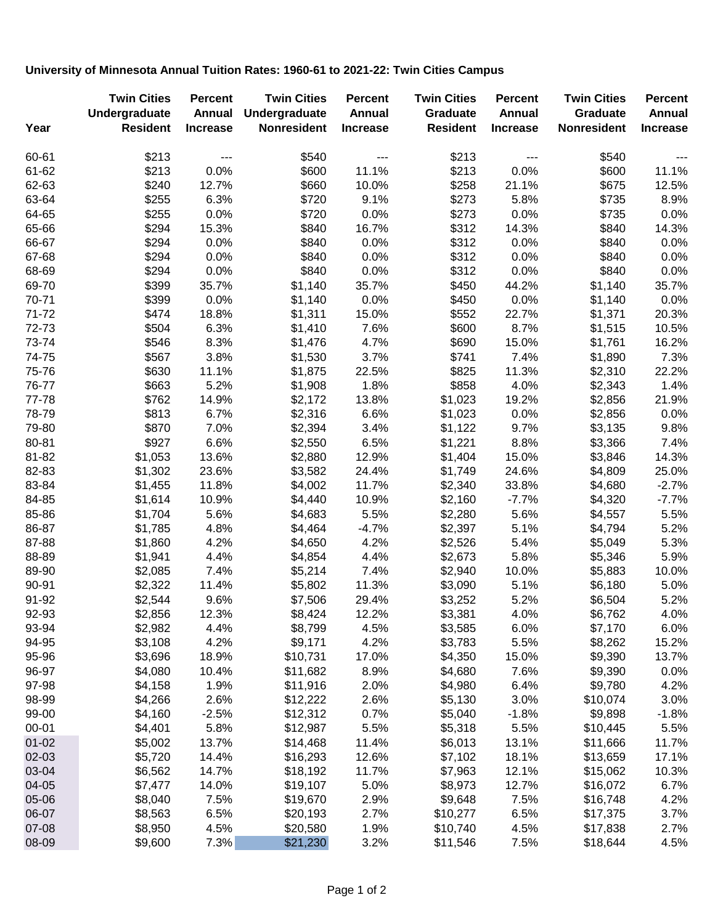## **University of Minnesota Annual Tuition Rates: 1960-61 to 2021-22: Twin Cities Campus**

| Year      | <b>Twin Cities</b><br>Undergraduate<br><b>Resident</b> | <b>Percent</b><br><b>Annual</b><br><b>Increase</b> | <b>Twin Cities</b><br>Undergraduate<br><b>Nonresident</b> | <b>Percent</b><br>Annual<br><b>Increase</b> | <b>Twin Cities</b><br>Graduate<br><b>Resident</b> | <b>Percent</b><br><b>Annual</b><br><b>Increase</b> | <b>Twin Cities</b><br><b>Graduate</b><br><b>Nonresident</b> | <b>Percent</b><br>Annual<br><b>Increase</b> |
|-----------|--------------------------------------------------------|----------------------------------------------------|-----------------------------------------------------------|---------------------------------------------|---------------------------------------------------|----------------------------------------------------|-------------------------------------------------------------|---------------------------------------------|
|           |                                                        |                                                    |                                                           |                                             |                                                   |                                                    |                                                             |                                             |
| 60-61     | \$213                                                  | $---$                                              | \$540                                                     | $---$                                       | \$213                                             | $---$                                              | \$540                                                       | $- - -$                                     |
| 61-62     | \$213                                                  | 0.0%                                               | \$600                                                     | 11.1%                                       | \$213                                             | 0.0%                                               | \$600                                                       | 11.1%                                       |
| 62-63     | \$240                                                  | 12.7%                                              | \$660                                                     | 10.0%                                       | \$258                                             | 21.1%                                              | \$675                                                       | 12.5%                                       |
| 63-64     | \$255                                                  | 6.3%                                               | \$720                                                     | 9.1%                                        | \$273                                             | 5.8%                                               | \$735                                                       | 8.9%                                        |
| 64-65     | \$255                                                  | 0.0%                                               | \$720                                                     | 0.0%                                        | \$273                                             | 0.0%                                               | \$735                                                       | 0.0%                                        |
| 65-66     | \$294                                                  | 15.3%                                              | \$840                                                     | 16.7%                                       | \$312                                             | 14.3%                                              | \$840                                                       | 14.3%                                       |
| 66-67     | \$294                                                  | 0.0%                                               | \$840                                                     | 0.0%                                        | \$312                                             | 0.0%                                               | \$840                                                       | 0.0%                                        |
| 67-68     | \$294                                                  | 0.0%                                               | \$840                                                     | 0.0%                                        | \$312                                             | 0.0%                                               | \$840                                                       | 0.0%                                        |
| 68-69     | \$294                                                  | 0.0%                                               | \$840                                                     | 0.0%                                        | \$312                                             | 0.0%                                               | \$840                                                       | 0.0%                                        |
| 69-70     | \$399                                                  | 35.7%                                              | \$1,140                                                   | 35.7%                                       | \$450                                             | 44.2%                                              | \$1,140                                                     | 35.7%                                       |
| 70-71     | \$399                                                  | 0.0%                                               | \$1,140                                                   | 0.0%                                        | \$450                                             | 0.0%                                               | \$1,140                                                     | 0.0%                                        |
| 71-72     | \$474                                                  | 18.8%                                              | \$1,311                                                   | 15.0%                                       | \$552                                             | 22.7%                                              | \$1,371                                                     | 20.3%                                       |
| 72-73     | \$504                                                  | 6.3%                                               | \$1,410                                                   | 7.6%                                        | \$600                                             | 8.7%                                               | \$1,515                                                     | 10.5%                                       |
| 73-74     | \$546                                                  | 8.3%                                               | \$1,476                                                   | 4.7%                                        | \$690                                             | 15.0%                                              | \$1,761                                                     | 16.2%                                       |
| 74-75     | \$567                                                  | 3.8%                                               | \$1,530                                                   | 3.7%                                        | \$741                                             | 7.4%                                               | \$1,890                                                     | 7.3%                                        |
| 75-76     | \$630                                                  | 11.1%                                              | \$1,875                                                   | 22.5%                                       | \$825                                             | 11.3%                                              | \$2,310                                                     | 22.2%                                       |
| 76-77     | \$663                                                  | 5.2%                                               | \$1,908                                                   | 1.8%                                        | \$858                                             | 4.0%                                               | \$2,343                                                     | 1.4%                                        |
| 77-78     | \$762                                                  | 14.9%                                              | \$2,172                                                   | 13.8%                                       | \$1,023                                           | 19.2%                                              | \$2,856                                                     | 21.9%                                       |
| 78-79     | \$813                                                  | 6.7%                                               | \$2,316                                                   | 6.6%                                        | \$1,023                                           | 0.0%                                               | \$2,856                                                     | 0.0%                                        |
| 79-80     | \$870                                                  | 7.0%                                               | \$2,394                                                   | 3.4%                                        | \$1,122                                           | 9.7%                                               | \$3,135                                                     | 9.8%                                        |
| 80-81     | \$927                                                  | 6.6%                                               | \$2,550                                                   | 6.5%                                        | \$1,221                                           | 8.8%                                               | \$3,366                                                     | 7.4%                                        |
| 81-82     | \$1,053                                                | 13.6%                                              | \$2,880                                                   | 12.9%                                       | \$1,404                                           | 15.0%                                              | \$3,846                                                     | 14.3%                                       |
| 82-83     | \$1,302                                                | 23.6%                                              | \$3,582                                                   | 24.4%                                       | \$1,749                                           | 24.6%                                              | \$4,809                                                     | 25.0%                                       |
| 83-84     | \$1,455                                                | 11.8%                                              | \$4,002                                                   | 11.7%                                       | \$2,340                                           | 33.8%                                              | \$4,680                                                     | $-2.7%$                                     |
| 84-85     | \$1,614                                                | 10.9%                                              | \$4,440                                                   | 10.9%                                       | \$2,160                                           | $-7.7%$                                            | \$4,320                                                     | $-7.7%$                                     |
| 85-86     | \$1,704                                                | 5.6%                                               | \$4,683                                                   | 5.5%                                        | \$2,280                                           | 5.6%                                               | \$4,557                                                     | 5.5%                                        |
| 86-87     | \$1,785                                                | 4.8%                                               | \$4,464                                                   | $-4.7%$                                     | \$2,397                                           | 5.1%                                               | \$4,794                                                     | 5.2%                                        |
| 87-88     | \$1,860                                                | 4.2%                                               | \$4,650                                                   | 4.2%                                        | \$2,526                                           | 5.4%                                               | \$5,049                                                     | 5.3%                                        |
| 88-89     | \$1,941                                                | 4.4%                                               | \$4,854                                                   | 4.4%                                        | \$2,673                                           | 5.8%                                               | \$5,346                                                     | 5.9%                                        |
| 89-90     | \$2,085                                                | 7.4%                                               | \$5,214                                                   | 7.4%                                        | \$2,940                                           | 10.0%                                              | \$5,883                                                     | 10.0%                                       |
| 90-91     | \$2,322                                                | 11.4%                                              | \$5,802                                                   | 11.3%                                       | \$3,090                                           | 5.1%                                               | \$6,180                                                     | 5.0%                                        |
| 91-92     | \$2,544                                                | 9.6%                                               | \$7,506                                                   | 29.4%                                       | \$3,252                                           | 5.2%                                               | \$6,504                                                     | 5.2%                                        |
| 92-93     | \$2,856                                                | 12.3%                                              | \$8,424                                                   | 12.2%                                       | \$3,381                                           | 4.0%                                               | \$6,762                                                     | 4.0%                                        |
| 93-94     | \$2,982                                                | 4.4%                                               | \$8,799                                                   | 4.5%                                        | \$3,585                                           | 6.0%                                               | \$7,170                                                     | 6.0%                                        |
| 94-95     | \$3,108                                                | 4.2%                                               | \$9,171                                                   | 4.2%                                        | \$3,783                                           | 5.5%                                               | \$8,262                                                     | 15.2%                                       |
| 95-96     | \$3,696                                                | 18.9%                                              | \$10,731                                                  | 17.0%                                       | \$4,350                                           | 15.0%                                              | \$9,390                                                     | 13.7%                                       |
| 96-97     | \$4,080                                                | 10.4%                                              | \$11,682                                                  | 8.9%                                        | \$4,680                                           | 7.6%                                               | \$9,390                                                     | 0.0%                                        |
| 97-98     | \$4,158                                                | 1.9%                                               | \$11,916                                                  | 2.0%                                        | \$4,980                                           | 6.4%                                               | \$9,780                                                     | 4.2%                                        |
| 98-99     | \$4,266                                                | 2.6%                                               | \$12,222                                                  | 2.6%                                        | \$5,130                                           | 3.0%                                               | \$10,074                                                    | 3.0%                                        |
| 99-00     | \$4,160                                                | $-2.5%$                                            | \$12,312                                                  | 0.7%                                        | \$5,040                                           | $-1.8%$                                            | \$9,898                                                     | $-1.8%$                                     |
| $00 - 01$ | \$4,401                                                | 5.8%                                               | \$12,987                                                  | 5.5%                                        | \$5,318                                           | 5.5%                                               | \$10,445                                                    | 5.5%                                        |
| $01 - 02$ | \$5,002                                                | 13.7%                                              | \$14,468                                                  | 11.4%                                       | \$6,013                                           | 13.1%                                              | \$11,666                                                    | 11.7%                                       |
| 02-03     | \$5,720                                                | 14.4%                                              | \$16,293                                                  | 12.6%                                       | \$7,102                                           | 18.1%                                              | \$13,659                                                    | 17.1%                                       |
| 03-04     | \$6,562                                                | 14.7%                                              | \$18,192                                                  | 11.7%                                       | \$7,963                                           | 12.1%                                              | \$15,062                                                    | 10.3%                                       |
| 04-05     | \$7,477                                                | 14.0%                                              | \$19,107                                                  | 5.0%                                        | \$8,973                                           | 12.7%                                              | \$16,072                                                    | 6.7%                                        |
| 05-06     | \$8,040                                                | 7.5%                                               | \$19,670                                                  | 2.9%                                        | \$9,648                                           | 7.5%                                               | \$16,748                                                    | 4.2%                                        |
| 06-07     | \$8,563                                                | 6.5%                                               | \$20,193                                                  | 2.7%                                        | \$10,277                                          | 6.5%                                               | \$17,375                                                    | 3.7%                                        |
| 07-08     | \$8,950                                                | 4.5%                                               | \$20,580                                                  | 1.9%                                        | \$10,740                                          | 4.5%                                               | \$17,838                                                    | 2.7%                                        |
| 08-09     | \$9,600                                                | 7.3%                                               | \$21,230                                                  | 3.2%                                        | \$11,546                                          | 7.5%                                               | \$18,644                                                    | 4.5%                                        |